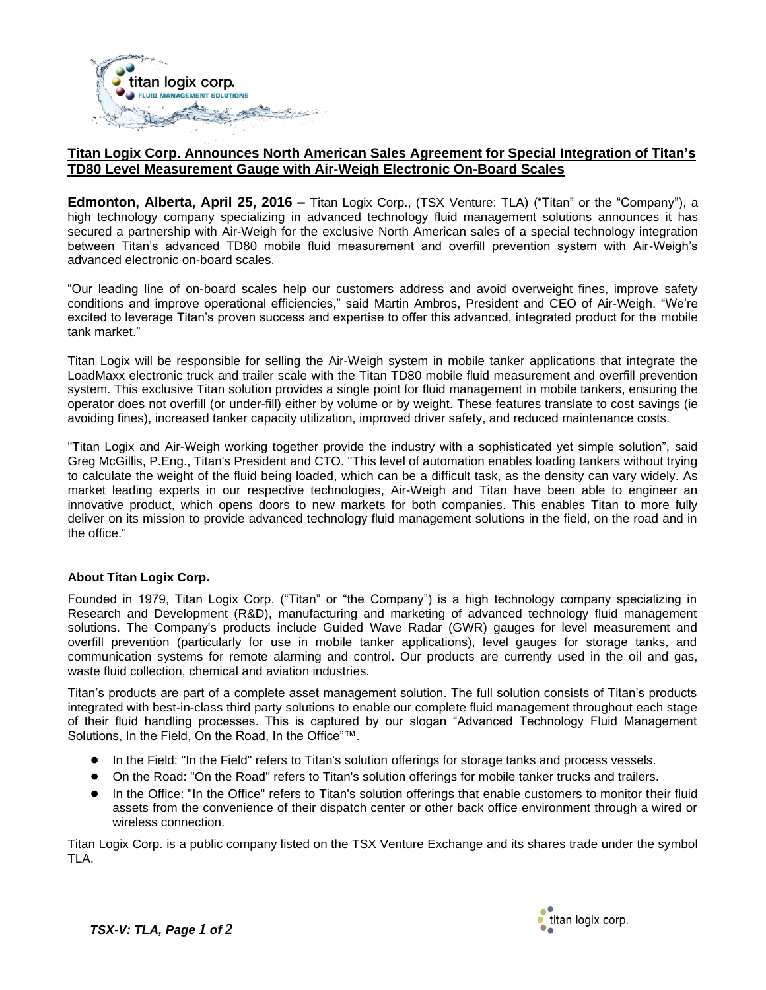

# **Titan Logix Corp. Announces North American Sales Agreement for Special Integration of Titan's TD80 Level Measurement Gauge with Air-Weigh Electronic On-Board Scales**

**Edmonton, Alberta, April 25, 2016 –** Titan Logix Corp., (TSX Venture: TLA) ("Titan" or the "Company"), a high technology company specializing in advanced technology fluid management solutions announces it has secured a partnership with Air-Weigh for the exclusive North American sales of a special technology integration between Titan's advanced TD80 mobile fluid measurement and overfill prevention system with Air-Weigh's advanced electronic on-board scales.

"Our leading line of on-board scales help our customers address and avoid overweight fines, improve safety conditions and improve operational efficiencies," said Martin Ambros, President and CEO of Air-Weigh. "We're excited to leverage Titan's proven success and expertise to offer this advanced, integrated product for the mobile tank market."

Titan Logix will be responsible for selling the Air-Weigh system in mobile tanker applications that integrate the LoadMaxx electronic truck and trailer scale with the Titan TD80 mobile fluid measurement and overfill prevention system. This exclusive Titan solution provides a single point for fluid management in mobile tankers, ensuring the operator does not overfill (or under-fill) either by volume or by weight. These features translate to cost savings (ie avoiding fines), increased tanker capacity utilization, improved driver safety, and reduced maintenance costs.

"Titan Logix and Air-Weigh working together provide the industry with a sophisticated yet simple solution", said Greg McGillis, P.Eng., Titan's President and CTO. "This level of automation enables loading tankers without trying to calculate the weight of the fluid being loaded, which can be a difficult task, as the density can vary widely. As market leading experts in our respective technologies, Air-Weigh and Titan have been able to engineer an innovative product, which opens doors to new markets for both companies. This enables Titan to more fully deliver on its mission to provide advanced technology fluid management solutions in the field, on the road and in the office."

## **About Titan Logix Corp.**

Founded in 1979, Titan Logix Corp. ("Titan" or "the Company") is a high technology company specializing in Research and Development (R&D), manufacturing and marketing of advanced technology fluid management solutions. The Company's products include Guided Wave Radar (GWR) gauges for level measurement and overfill prevention (particularly for use in mobile tanker applications), level gauges for storage tanks, and communication systems for remote alarming and control. Our products are currently used in the oil and gas, waste fluid collection, chemical and aviation industries.

Titan's products are part of a complete asset management solution. The full solution consists of Titan's products integrated with best-in-class third party solutions to enable our complete fluid management throughout each stage of their fluid handling processes. This is captured by our slogan "Advanced Technology Fluid Management Solutions, In the Field, On the Road, In the Office"™.

- In the Field: "In the Field" refers to Titan's solution offerings for storage tanks and process vessels.
- On the Road: "On the Road" refers to Titan's solution offerings for mobile tanker trucks and trailers.
- In the Office: "In the Office" refers to Titan's solution offerings that enable customers to monitor their fluid assets from the convenience of their dispatch center or other back office environment through a wired or wireless connection.

Titan Logix Corp. is a public company listed on the TSX Venture Exchange and its shares trade under the symbol TLA.